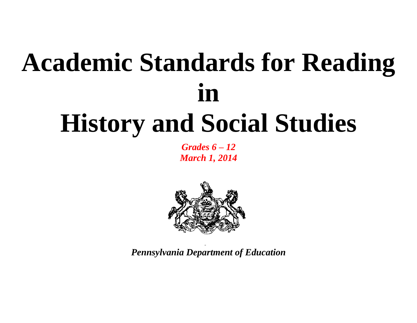# **Academic Standards for Reading in History and Social Studies**

*Grades 6 – 12 March 1, 2014*



*Pennsylvania Department of Education*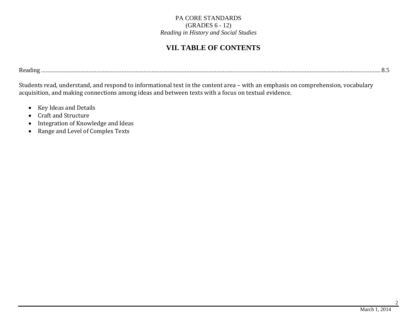## **VII. TABLE OF CONTENTS**

Reading ....................................................................................................................................................................................................................... 8.5

Students read, understand, and respond to informational text in the content area – with an emphasis on comprehension, vocabulary acquisition, and making connections among ideas and between texts with a focus on textual evidence.

- Key Ideas and Details
- Craft and Structure
- Integration of Knowledge and Ideas
- Range and Level of Complex Texts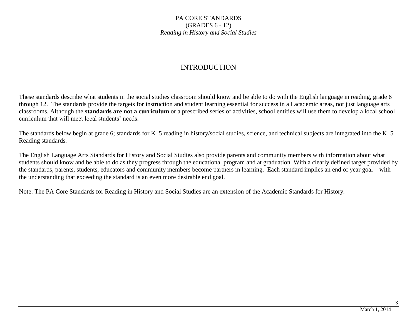### INTRODUCTION

These standards describe what students in the social studies classroom should know and be able to do with the English language in reading, grade 6 through 12. The standards provide the targets for instruction and student learning essential for success in all academic areas, not just language arts classrooms. Although the **standards are not a curriculum** or a prescribed series of activities, school entities will use them to develop a local school curriculum that will meet local students' needs.

The standards below begin at grade 6; standards for K–5 reading in history/social studies, science, and technical subjects are integrated into the K–5 Reading standards.

The English Language Arts Standards for History and Social Studies also provide parents and community members with information about what students should know and be able to do as they progress through the educational program and at graduation. With a clearly defined target provided by the standards, parents, students, educators and community members become partners in learning. Each standard implies an end of year goal – with the understanding that exceeding the standard is an even more desirable end goal.

Note: The PA Core Standards for Reading in History and Social Studies are an extension of the Academic Standards for History.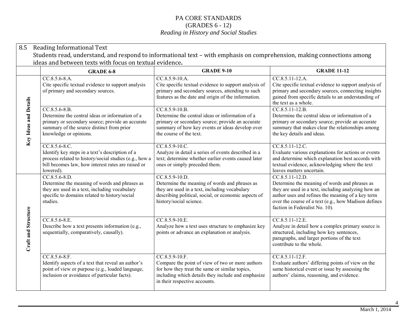|                                                                                                                                                                                    | 8.5                   | Reading Informational Text                                                                                                                                                                      |                                                                                                                                                                                                               |                                                                                                                                                                                                                                                                        |  |  |
|------------------------------------------------------------------------------------------------------------------------------------------------------------------------------------|-----------------------|-------------------------------------------------------------------------------------------------------------------------------------------------------------------------------------------------|---------------------------------------------------------------------------------------------------------------------------------------------------------------------------------------------------------------|------------------------------------------------------------------------------------------------------------------------------------------------------------------------------------------------------------------------------------------------------------------------|--|--|
| Students read, understand, and respond to informational text - with emphasis on comprehension, making connections among<br>ideas and between texts with focus on textual evidence. |                       |                                                                                                                                                                                                 |                                                                                                                                                                                                               |                                                                                                                                                                                                                                                                        |  |  |
|                                                                                                                                                                                    |                       | <b>GRADE 6-8</b>                                                                                                                                                                                | <b>GRADE 9-10</b>                                                                                                                                                                                             | <b>GRADE 11-12</b>                                                                                                                                                                                                                                                     |  |  |
|                                                                                                                                                                                    |                       | $CC.8.5.6-8.A.$<br>Cite specific textual evidence to support analysis<br>of primary and secondary sources.                                                                                      | $CC.8.5.9-10.A.$<br>Cite specific textual evidence to support analysis of<br>primary and secondary sources, attending to such<br>features as the date and origin of the information.                          | $CC.8.5.11-12.A.$<br>Cite specific textual evidence to support analysis of<br>primary and secondary sources, connecting insights<br>gained from specific details to an understanding of<br>the text as a whole.                                                        |  |  |
|                                                                                                                                                                                    | Key Ideas and Details | $CC.8.5.6 - 8.B.$<br>Determine the central ideas or information of a<br>primary or secondary source; provide an accurate<br>summary of the source distinct from prior<br>knowledge or opinions. | CC.8.5.9-10.B.<br>Determine the central ideas or information of a<br>primary or secondary source; provide an accurate<br>summary of how key events or ideas develop over<br>the course of the text.           | CC.8.5.11-12.B.<br>Determine the central ideas or information of a<br>primary or secondary source; provide an accurate<br>summary that makes clear the relationships among<br>the key details and ideas.                                                               |  |  |
|                                                                                                                                                                                    |                       | $CC.8.5.6-8.C.$<br>Identify key steps in a text's description of a<br>process related to history/social studies (e.g., how a<br>bill becomes law, how interest rates are raised or<br>lowered). | CC.8.5.9-10.C.<br>Analyze in detail a series of events described in a<br>text; determine whether earlier events caused later<br>ones or simply preceded them.                                                 | $CC.8.5.11-12.C.$<br>Evaluate various explanations for actions or events<br>and determine which explanation best accords with<br>textual evidence, acknowledging where the text<br>leaves matters uncertain.                                                           |  |  |
|                                                                                                                                                                                    |                       | CC.8.5.6-8.D.<br>Determine the meaning of words and phrases as<br>they are used in a text, including vocabulary<br>specific to domains related to history/social<br>studies.                    | CC.8.5.9-10.D.<br>Determine the meaning of words and phrases as<br>they are used in a text, including vocabulary<br>describing political, social, or economic aspects of<br>history/social science.           | CC.8.5.11-12.D.<br>Determine the meaning of words and phrases as<br>they are used in a text, including analyzing how an<br>author uses and refines the meaning of a key term<br>over the course of a text (e.g., how Madison defines<br>faction in Federalist No. 10). |  |  |
|                                                                                                                                                                                    | Craft and Structure   | CC.8.5.6-8.E.<br>Describe how a text presents information (e.g.,<br>sequentially, comparatively, causally).                                                                                     | CC.8.5.9-10.E.<br>Analyze how a text uses structure to emphasize key<br>points or advance an explanation or analysis.                                                                                         | CC.8.5.11-12.E.<br>Analyze in detail how a complex primary source is<br>structured, including how key sentences,<br>paragraphs, and larger portions of the text<br>contribute to the whole.                                                                            |  |  |
|                                                                                                                                                                                    |                       | $CC.8.5.6-8.F.$<br>Identify aspects of a text that reveal an author's<br>point of view or purpose (e.g., loaded language,<br>inclusion or avoidance of particular facts).                       | $CC.8.5.9-10.F.$<br>Compare the point of view of two or more authors<br>for how they treat the same or similar topics,<br>including which details they include and emphasize<br>in their respective accounts. | $CC.8.5.11-12.F.$<br>Evaluate authors' differing points of view on the<br>same historical event or issue by assessing the<br>authors' claims, reasoning, and evidence.                                                                                                 |  |  |